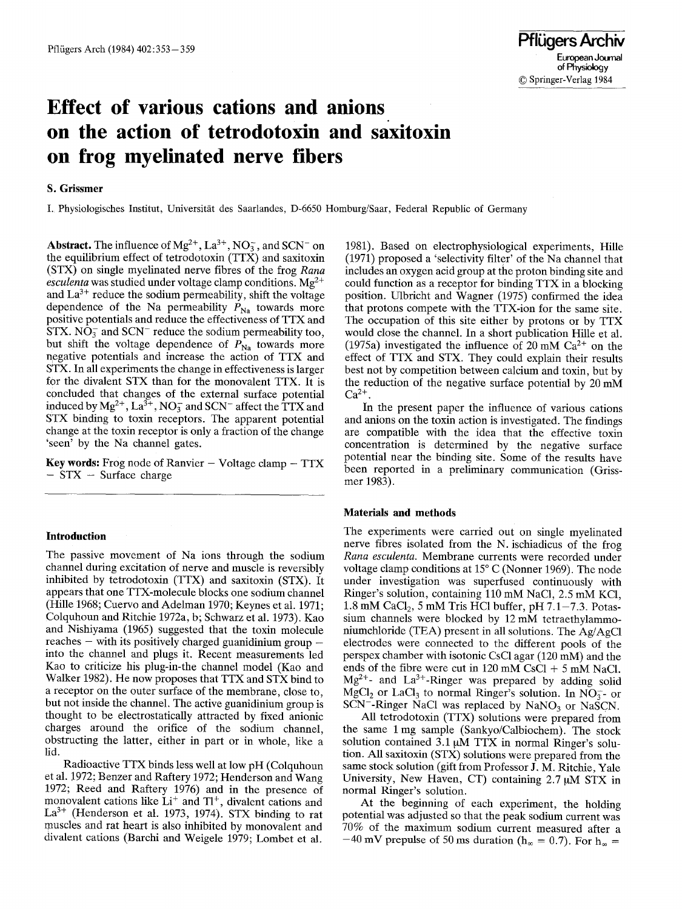# **Effect of various cations and anions on the action of tetrodotoxin and saxitoxin on frog myelinated nerve fibers**

## **S. Grissmer**

I. Physiologisches Institut, Universität des Saarlandes, D-6650 Homburg/Saar, Federal Republic of Germany

**Abstract.** The influence of  $Mg^{2+}$ ,  $La^{3+}$ ,  $NO_3^-$ , and SCN<sup>-</sup> on the equilibrium effect of tetrodotoxin (TTX) and saxitoxin (STX) on single myelinated nerve fibres of the frog *Rana*   $\acute{e}sculenta$  was studied under voltage clamp conditions. Mg<sup>2+</sup> and  $La^{3+}$  reduce the sodium permeability, shift the voltage dependence of the Na permeability  $P_{\text{Na}}$  towards more positive potentials and reduce the effectiveness of TTX and STX.  $NO<sub>3</sub><sup>-</sup>$  and SCN<sup>-</sup> reduce the sodium permeability too, but shift the voltage dependence of  $P_{\text{Na}}$  towards more negative potentials and increase the action of TTX and STX. In all experiments the change in effectiveness is larger for the divalent STX than for the monovalent TTX. It is concluded that changes of the external surface potential induced by  $Mg^{2+}$ ,  $La^{3+}$ ,  $NO_3^-$  and SCN<sup>-</sup> affect the TTX and STX binding to toxin receptors. The apparent potential change at the toxin receptor is only a fraction of the change 'seen' by the Na channel gates.

Key words: Frog node of Ranvier - Voltage clamp - TTX  $-$  STX  $-$  Surface charge

### **Introduction**

The passive movement of Na ions through the sodium channel during excitation of nerve and muscle is reversibly inhibited by tetrodotoxin (TTX) and saxitoxin (STX). It appears that one TTX-molecule blocks one sodium channel (Hille 1968; Cuervo and Adelman 1970; Keynes et al. 1971; Colquhoun and Ritchie 1972a, b; Schwarz et al. 1973). Kao and Nishiyama (1965) suggested that the toxin molecule reaches  $-$  with its positively charged guanidinium group  $$ into the channel and plugs it. Recent measurements led Kao to criticize his plug-in-the channel model (Kao and Walker 1982). He now proposes that TTX and STX bind to a receptor on the outer surface of the membrane, close to, but not inside the channel. The active guanidinium group is thought to be electrostatically attracted by fixed anionic charges around the orifice of the sodium channel, obstructing the latter, either in part or in whole, like a lid.

Radioactive TTX binds less well at low pH (Colquhoun et al. 1972; Benzer and Raftery 1972; Henderson and Wang 1972; Reed and Raftery 1976) and in the presence of monovalent cations like  $Li^+$  and  $TI^+$ , divalent cations and  $La^{3+}$  (Henderson et al. 1973, 1974). STX binding to rat muscles and rat heart is also inhibited by monovalent and divalent cations (Barchi and Weigele 1979; Lombet et al.

1981). Based on electrophysiological experiments, Hille (1971) proposed a 'selectivity filter' of the Na channel that includes an oxygen acid group at the proton binding site and could function as a receptor for binding TTX in a blocking position. Ulbricht and Wagner (1975) confirmed the idea that protons compete with the TFX-ion for the same site. The occupation of this site either by protons or by TTX would close the channel. In a short publication Hille et al. (1975a) investigated the influence of 20 mM  $Ca^{2+}$  on the effect of TTX and STX. They could explain their results best not by competition between calcium and toxin, but by the reduction of the negative surface potential by 20 mM  $Ca^{2+}$ .

In the present paper the influence of various cations and anions on the toxin action is investigated. The findings are compatible with the idea that the effective toxin concentration is determined by the negative surface potential near the binding site. Some of the results have been reported in a preliminary communication (Grissmer 1983).

## **Materials and methods**

The experiments were carried out on single myelinated nerve fibres isolated from the N. ischiadicus of the frog *Rana esculenta.* Membrane currents were recorded under voltage clamp conditions at  $15^{\circ}$  C (Nonner 1969). The node under investigation was superfused continuously with Ringer's solution, containing 110 mM NaCI, 2.5 mM KC1, 1.8 mM CaCl<sub>2</sub>, 5 mM Tris HCl buffer, pH  $7.1-7.3$ . Potassium channels were blocked by 12 mM tetraethylammoniumchloride (TEA) present in all solutions. The Ag/AgC1 electrodes were connected to the different pools of the perspex chamber with isotonic CsC1 agar (120 mM) and the ends of the fibre were cut in  $120 \text{ mM } \text{CsCl} + 5 \text{ mM } \text{NaCl}$ .  $Mg^{2+}$ - and La<sup>3+</sup>-Ringer was prepared by adding solid MgCl<sub>2</sub> or LaCl<sub>3</sub> to normal Ringer's solution. In NO<sub>3</sub>- or  $SCN^-$ -Ringer NaCl was replaced by NaNO<sub>3</sub> or NaSCN.

All tetrodotoxin (TTX) solutions were prepared from the same 1 mg sample (Sankyo/Calbiochem). The stock solution contained  $3.1 \mu M$  TTX in normal Ringer's solution. All saxitoxin (STX) solutions were prepared from the same stock solution (gift from Professor J. M. Ritchie, Yale University, New Haven, CT) containing  $2.7 \mu M$  STX in normal Ringer's solution.

At the beginning of each experiment, the holding potential was adjusted so that the peak sodium current was 70% of the maximum sodium current measured after a  $-40$  mV prepulse of 50 ms duration (h<sub>∞</sub> = 0.7). For h<sub>∞</sub> =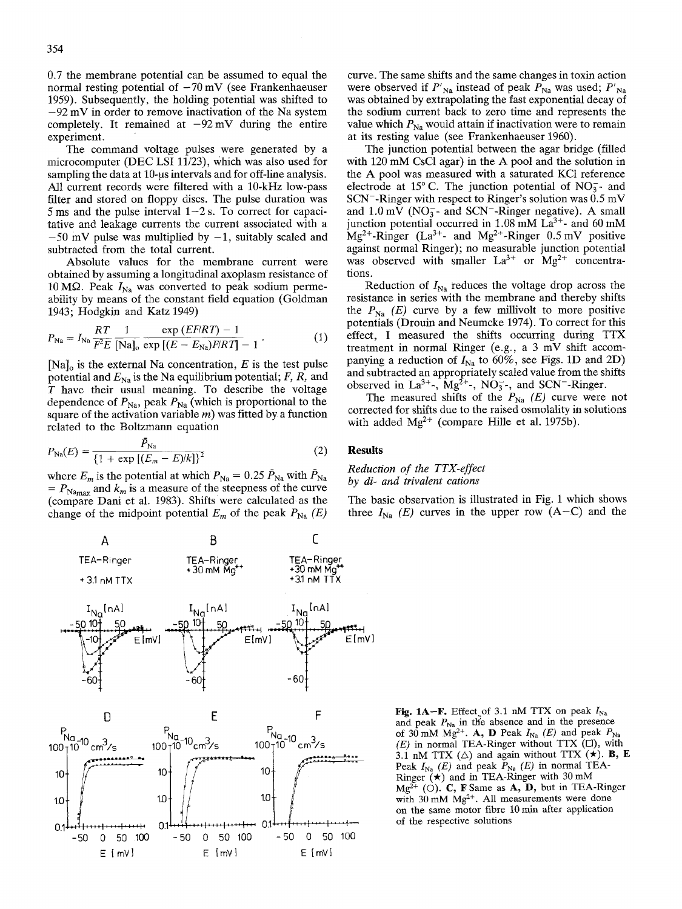0.7 the membrane potential can be assumed to equal the normal resting potential of  $-70$  mV (see Frankenhaeuser 1959). Subsequently, the holding potential was shifted to  $-92$  mV in order to remove inactivation of the Na system completely. It remained at  $-92 \text{ mV}$  during the entire experiment.

The command voltage pulses were generated by a microcomputer (DEC LSI 11/23), Which was also used for sampling the data at 10-us intervals and for off-line analysis. All current records were filtered with a 10-kHz low-pass filter and stored on floppy discs. The pulse duration was 5 ms and the pulse interval  $1-2$  s. To correct for capacitative and leakage currents the current associated with a  $-50$  mV pulse was multiplied by  $-1$ , suitably scaled and subtracted from the total current.

Absolute values for the membrane current were obtained by assuming a longitudinal axoplasm resistance of 10 M $\Omega$ . Peak  $I_{\text{Na}}$  was converted to peak sodium permeability by means of the constant field equation (Goldman 1943; Hodgkin and Katz 1949)

$$
P_{\text{Na}} = I_{\text{Na}} \frac{RT}{F^2 E} \frac{1}{[\text{Na}]_0} \frac{\exp(EF/RT) - 1}{\exp[(E - E_{\text{Na}})F/RT] - 1} \,. \tag{1}
$$

 $[Na]_o$  is the external Na concentration, E is the test pulse potential and  $E_{\text{Na}}$  is the Na equilibrium potential; F, R, and T have their usual meaning. To describe the voltage dependence of  $P_{\text{Na}}$ , peak  $P_{\text{Na}}$  (which is proportional to the square of the activation variable  $m$ ) was fitted by a function related to the Boltzmann equation

$$
P_{\text{Na}}(E) = \frac{\bar{P}_{\text{Na}}}{\left\{1 + \exp\left[(E_m - E)/k\right]\right\}^2}
$$
(2)

where  $E_m$  is the potential at which  $P_{\text{Na}} = 0.25 \bar{P}_{\text{Na}}$  with  $P_{\text{Na}}$  $= P_{\text{Namax}}$  and  $k_m$  is a measure of the steepness of the curve (compare Dani et al. 1983). Shifts were calculated as the change of the midpoint potential  $E_m$  of the peak  $P_{Na}$  (*E)* 

**A B E** 



curve. The same shifts and the same changes in toxin action were observed if  $P'_{\text{Na}}$  instead of peak  $P_{\text{Na}}$  was used;  $P'_{\text{Na}}$ was obtained by extrapolating the fast exponential decay of the sodium current back to zero time and represents the value which  $P_{\text{Na}}$  would attain if inactivation were to remain at its resting value (see Frankenhaeuser 1960).

The junction potential between the agar bridge (filled with 120 mM CsCl agar) in the A pool and the solution in the A pool was measured with a saturated KC1 reference electrode at 15 $^{\circ}$  C. The junction potential of NO<sub>3</sub>- and SCN<sup>-</sup>-Ringer with respect to Ringer's solution was  $0.5$  mV and  $1.0 \text{ mV}$  (NO<sub>3</sub>- and SCN<sup>-</sup>-Ringer negative). A small junction potential occurred in  $1.08 \text{ mM}$  La<sup>3+</sup>- and 60 mM  $Mg^{2+}$ -Ringer (La<sup>3+</sup>- and Mg<sup>2+</sup>-Ringer 0.5 mV positive against normal Ringer); no measurable junction potential was observed with smaller  $La^{3+}$  or  $Mg^{2+}$  concentrations.

Reduction of  $I_{\text{Na}}$  reduces the voltage drop across the resistance in series with the membrane and thereby shifts the  $P_{\text{N}_a}$  (E) curve by a few millivolt to more positive potentials (Drouin and Neumcke 1974). To correct for this effect, I measured the shifts occurring during TTX treatment in normal Ringer (e.g., a 3 mV shift accompanying a reduction of  $I_{\text{Na}}$  to 60%, see Figs. 1D and 2D) and subtracted an appropriately scaled value from the shifts observed in  $La^{3+}$ -,  $Mg^{2+}$ -,  $NO_3^-$ -, and SCN<sup>-</sup>-Ringer.

The measured shifts of the  $P_{\text{Na}}$  *(E)* curve were not corrected for shifts due to the raised osmolality in solutions with added  $Mg^{2+}$  (compare Hille et al. 1975b).

## **Results**

### *Reduction of the TTX-effect by di- and trivalent cations*

The basic observation is illustrated in Fig. 1 which shows three  $I_{Na}$  *(E)* curves in the upper row  $(A-C)$  and the

> Fig. 1A-F. Effect of 3.1 nM TTX on peak  $I_{\text{Na}}$ and peak  $P_{\text{Na}}$  in the absence and in the presence of 30 mM Mg<sup>2+</sup>. A, D Peak  $I_{\text{Na}}$  (E) and peak  $P_{\text{Na}}$ *(E)* in normal TEA-Ringer without TTX ([]), with 3.1 nM TTX  $(\triangle)$  and again without TTX  $(\star)$ . B, E Peak  $I_{Na}$  (E) and peak  $P_{Na}$  (E) in normal TEA-Ringer  $(\star)$  and in TEA-Ringer with 30 mM  $Mg^{2+}$  (O). C, F Same as A, D, but in TEA-Ringer with  $30 \text{ mM } Mg^{2+}$ . All measurements were done on the same motor fibre 10 min after application of the respective solutions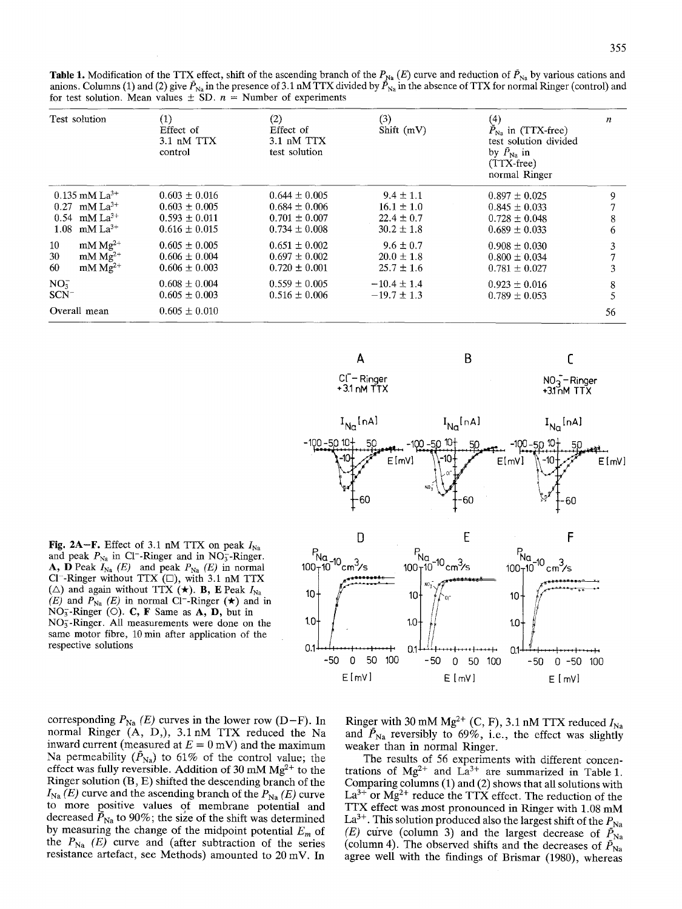**Table 1.** Modification of the TTX effect, shift of the ascending branch of the  $P_{\text{Na}}(E)$  curve and reduction of  $\bar{P}_{\text{Na}}$  by various cations and anions. Columns (1) and (2) give  $\bar{P}_{\text{Na}}$  in the presence of 3.1 nM TTX divided by  $\bar{P}_{\text{Na}}$  in the absence of TTX for normal Ringer (control) and for test solution. Mean values  $\pm$  SD.  $n =$  Number of experiments

| Test solution                                                                                                         | (1)<br>Effect of<br>$3.1$ nM $TTX$<br>control                                    | (2)<br>Effect of<br>3.1 nM TTX<br>test solution                                  | (3)<br>Shift (mV)                                                   | (4)<br>$\bar{P}_{\text{Na}}$ in (TTX-free)<br>test solution divided<br>by $\bar{P}_{\text{Na}}$ in<br>$(TTX-free)$<br>normal Ringer | $\boldsymbol{n}$<br>9<br>8<br>6 |
|-----------------------------------------------------------------------------------------------------------------------|----------------------------------------------------------------------------------|----------------------------------------------------------------------------------|---------------------------------------------------------------------|-------------------------------------------------------------------------------------------------------------------------------------|---------------------------------|
| $0.135$ mM La <sup>3+</sup><br>$0.27$ mM La <sup>3+</sup><br>$0.54$ mM La <sup>3+</sup><br>$1.08$ mM La <sup>3+</sup> | $0.603 \pm 0.016$<br>$0.603 \pm 0.005$<br>$0.593 \pm 0.011$<br>$0.616 \pm 0.015$ | $0.644 \pm 0.005$<br>$0.684 \pm 0.006$<br>$0.701 \pm 0.007$<br>$0.734 \pm 0.008$ | $9.4 \pm 1.1$<br>$16.1 \pm 1.0$<br>$22.4 \pm 0.7$<br>$30.2 \pm 1.8$ | $0.897 \pm 0.025$<br>$0.845 \pm 0.033$<br>$0.728 \pm 0.048$<br>$0.689 \pm 0.033$                                                    |                                 |
| $~\mathrm{mM}~\mathrm{Mg^{2+}}$<br>10<br>$~\mathrm{mM}~\mathrm{Mg^{2+}}$<br>30<br>$mM Mg2+$<br>60                     | $0.605 \pm 0.005$<br>$0.606 \pm 0.004$<br>$0.606 \pm 0.003$                      | $0.651 \pm 0.002$<br>$0.697 \pm 0.002$<br>$0.720 \pm 0.001$                      | $9.6 \pm 0.7$<br>$20.0 \pm 1.8$<br>$25.7 \pm 1.6$                   | $0.908 \pm 0.030$<br>$0.800 \pm 0.034$<br>$0.781 \pm 0.027$                                                                         | 3<br>3                          |
| $NO3^-$<br>$SCN^-$                                                                                                    | $0.608 \pm 0.004$<br>$0.605 \pm 0.003$                                           | $0.559 \pm 0.005$<br>$0.516 \pm 0.006$                                           | $-10.4 \pm 1.4$<br>$-19.7 \pm 1.3$                                  | $0.923 \pm 0.016$<br>$0.789 \pm 0.053$                                                                                              | 8                               |
| Overall mean                                                                                                          | $0.605 \pm 0.010$                                                                |                                                                                  |                                                                     |                                                                                                                                     | 56                              |

**Fig. 2A-F.** Effect of 3.1 nM TTX on peak  $I_{\text{Na}}$ and peak  $P_{\text{Na}}$  in Cl<sup>-</sup>-Ringer and in NO<sub>3</sub>-Ringer. A, D Peak  $I_{\text{Na}}$  *(E)* and peak  $P_{\text{Na}}$  *(E)* in normal  $CI^-$ -Ringer without TTX  $(\Box)$ , with 3.1 nM TTX ( $\triangle$ ) and again without TTX ( $\star$ ). **B**, **E** Peak  $I_{\text{Na}}$ *(E)* and  $P_{Na}$  *(E)* in normal C1<sup>-</sup>-Ringer  $(\star)$  and in  $NO<sub>3</sub>$ -Ringer (O). C, F Same as A, D, but in NO<sub>3</sub>-Ringer. All measurements were done on the same motor fibre, 10 min after application of the respective solutions



**A B C** 

corresponding  $P_{\text{Na}}(E)$  curves in the lower row (D-F). In normal Ringer (A, D,), 3.1 nM TTX reduced the Na inward current (measured at  $E = 0$  mV) and the maximum Na permeability  $(\bar{P}_{Na})$  to 61% of the control value; the effect was fully reversible. Addition of 30 mM  $Mg^{2+}$  to the Ringer solution (B, E) shifted the descending branch of the  $I_{\text{Na}}(E)$  curve and the ascending branch of the  $P_{\text{Na}}(E)$  curve to more positive values of membrane potential and decreased  $P_{\text{Na}}$  to 90%; the size of the shift was determined by measuring the change of the midpoint potential  $E_m$  of the  $P_{\text{Na}}$  *(E)* curve and (after subtraction of the series resistance artefact, see Methods) amounted to 20 mV. In

Ringer with 30 mM Mg<sup>2+</sup> (C, F), 3.1 nM TTX reduced  $I_{\text{Na}}$ and  $\bar{P}_{\text{Na}}$  reversibly to 69%, i.e., the effect was slightly weaker than in normal Ringer.

The results of 56 experiments with different concentrations of  $Mg^{2+}$  and  $La^{3+}$  are summarized in Table 1. Comparing columns (1) and (2) shows that all solutions with  $La^{3+}$  or  $Mg^{2+}$  reduce the TTX effect. The reduction of the TTX effect was most pronounced in Ringer with 1.08 mM La<sup>3+</sup>. This solution produced also the largest shift of the  $P_{\text{Na}}$ *(E)* curve (column 3) and the largest decrease of  $\bar{P}_{\text{Na}}$ (column 4). The observed shifts and the decreases of  $\bar{P}_{Na}$ agree well with the findings of Brismar (1980), whereas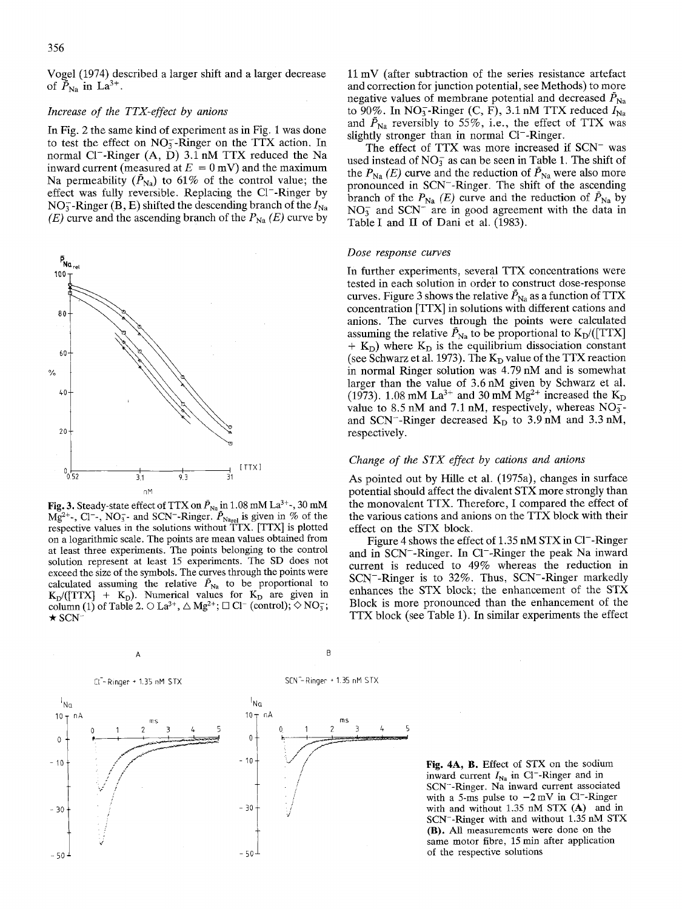Vogel (1974) described a larger shift and a larger decrease of  $\bar{P}_{\text{Na}}$  in La<sup>3+</sup>.

## *Increase of the TTX-effect by anions*

In Fig. 2 the same kind of experiment as in Fig. I was done to test the effect on  $NO<sub>3</sub><sup>-</sup>-Ringer$  on the TTX action. In normal  $Cl^-$ -Ringer  $(A, D)$  3.1 nM TTX reduced the Na inward current (measured at  $E = 0$  mV) and the maximum Na permeability  $(\bar{P}_{\text{Na}})$  to 61% of the control value; the effect was fully reversible. Replacing the Cl<sup>-</sup>-Ringer by NO<sub>3</sub>-Ringer (B, E) shifted the descending branch of the  $I_{\text{Na}}$ *(E)* curve and the ascending branch of the  $P_{Na}$  *(E)* curve by



**Fig. 3.** Steady-state effect of TTX on  $\bar{P}_{\text{Na}}$  in 1.08 mM La<sup>3+</sup>-, 30 mM  $Mg^{2+}$ , Cl<sup>-</sup>, NO<sub>3</sub>- and SCN<sup>-</sup>-Ringer.  $\bar{P}_{\text{Narel}}$  is given in % of the respective values in the solutions without TTX. [TTX] is plotted on a logarithmic scale. The points are mean values obtained from at least three experiments. The points belonging to the control solution represent at least 15 experiments. The SD does not exceed the size of the symbols. The curves through the points were calculated assuming the relative  $\bar{P}_{\text{Na}}$  to be proportional to  $K_D/([TTX] + K_D)$ . Numerical values for  $K_D$  are given in column (1) of Table 2.  $\odot$  La<sup>3+</sup>,  $\triangle$  Mg<sup>2+</sup>;  $\Box$  Cl<sup>-</sup> (control);  $\Diamond$  NO<sub>3</sub>;  $\star$  SCN

11 mV (after subtraction of the series resistance artefact and correction for junction potential, see Methods) to more negative values of membrane potential and decreased  $\bar{P}_{\text{Na}}$ to 90%. In NO<sub>3</sub>-Ringer (C, F), 3.1 nM TTX reduced  $I_{\text{Na}}$ and  $\bar{P}_{\text{Na}}$  reversibly to 55%, i.e., the effect of TTX was slightly stronger than in normal CI<sup>-</sup>-Ringer.

The effect of TTX was more increased if SCN<sup>-</sup> was used instead of  $NO<sub>3</sub><sup>-</sup>$  as can be seen in Table 1. The shift of the  $P_{\text{Na}}(E)$  curve and the reduction of  $\bar{P}_{\text{Na}}$  were also more pronounced in SCN--Ringer. The shift of the ascending branch of the  $P_{\text{Na}}$  *(E)* curve and the reduction of  $\bar{P}_{\text{Na}}$  by  $NO<sub>3</sub><sup>-</sup>$  and SCN<sup>- are in good agreement with the data in</sup> Table I and II of Dani et al. (1983).

#### *Dose response curves*

In further experiments, several TTX concentrations were tested in each solution in order to construct dose-response curves. Figure 3 shows the relative  $\bar{P}_{\text{Na}}$  as a function of TTX concentration [TTX] in solutions with different cations and anions. The curves through the points were calculated assuming the relative  $\bar{P}_{\text{Na}}$  to be proportional to  $K_{\text{D}}/(\text{[TTX]}$  $+$  K<sub>D</sub>) where K<sub>D</sub> is the equilibrium dissociation constant (see Schwarz et al. 1973). The  $K_D$  value of the TTX reaction in normal Ringer solution was 4.79 nM and is somewhat larger than the value of 3.6 nM given by Schwarz et al. (1973). 1.08 mM La<sup>3+</sup> and 30 mM Mg<sup>2+</sup> increased the K<sub>D</sub> value to 8.5 nM and 7.1 nM, respectively, whereas  $NO<sub>3</sub>$ and SCN<sup>--</sup>-Ringer decreased  $K_D$  to 3.9 nM and 3.3 nM, respectively.

### *Change of the STX effect by cations and anions*

As pointed out by Hille et al. (1975a), changes in surface potential should affect the divalent STX more strongly than the monovalent TTX. Therefore, I compared the effect of the various cations and anions on the TTX block with their effect on the STX block.

Figure 4 shows the effect of 1.35 nM STX in Cl<sup>-</sup>-Ringer and in SCN--Ringer. In C1--Ringer the peak Na inward current is reduced to 49% whereas the reduction in SCN--Ringer is to 32%. Thus, SCN--Ringer markedly enhances the STX block; the enhancement of the STX Block is more pronounced than the enhancement of the TTX block (see Table 1). In similar experiments the effect



 $\overline{A}$  b

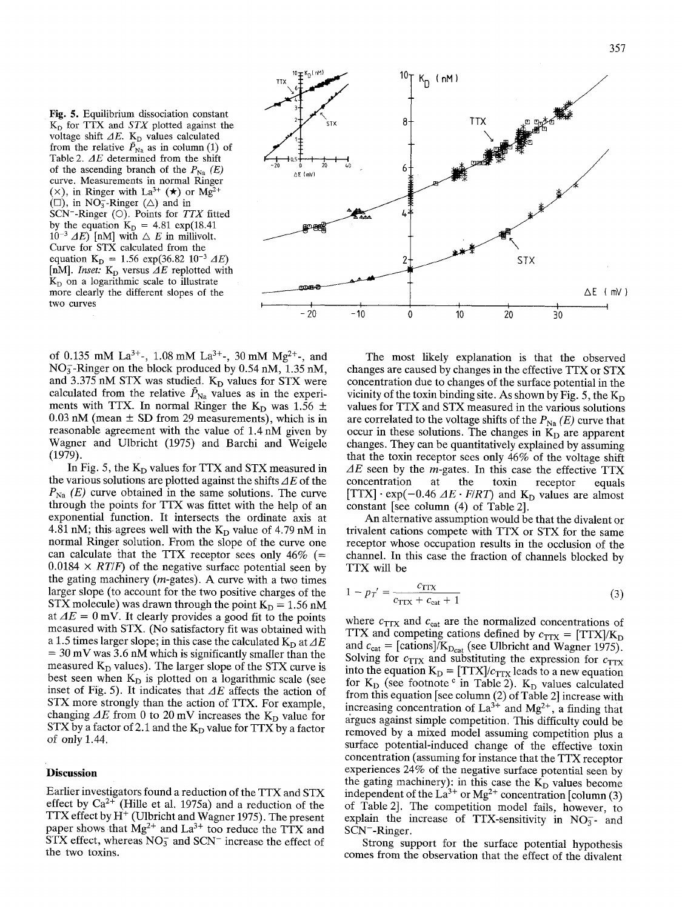Fig. 5. Equilibrium dissociation constant  $K_D$  for TTX and *STX* plotted against the voltage shift  $\Delta E$ . K<sub>D</sub> values calculated from the relative  $\bar{P}_{\text{Na}}$  as in column (1) of Table 2. *dE* determined from the shift of the ascending branch of the  $P_{\text{Na}}(E)$ curve. Measurements in normal Ringer ( $\times$ ), in Ringer with La<sup>3+</sup> ( $\star$ ) or Mg<sup>2+</sup>  $(\Box)$ , in NO<sub>3</sub>-Ringer ( $\triangle$ ) and in SCN<sup>-</sup>-Ringer (O). Points for *TTX* fitted by the equation  $K_D = 4.81 \exp(18.41$  $10^{-3}$  *dE*) [nM] with  $\triangle E$  in millivolt. Curve for STX calculated from the equation  $K_D = 1.56 \exp(36.82 \ 10^{-3} \ \Delta E)$ [nM]. *Inset:*  $K_D$  versus  $\Delta E$  replotted with  $K<sub>D</sub>$  on a logarithmic scale to illustrate more dearly the different slopes of the two curves

 $^{10}$   $\mathbf{F}^{K_{\text{D}}(nM)}$   $^{10}$   $\mathbf{T}$   $^{10}$ ™. 1 K D ( nM ) TTX m I  $\mathcal{A} = \mathcal{A} \cup \mathcal{A}$ SIX  $-20$  0 20 40  $\Delta E$  (mV) **STX** AE mV) **I i I I I I**   $-20 -10$  $\Omega$ I0 20 30

of 0.135 mM La<sup>3+</sup>-, 1.08 mM La<sup>3+</sup>-, 30 mM Mg<sup>2+</sup>-, and  $NO<sub>3</sub>$ -Ringer on the block produced by 0.54 nM, 1.35 nM, and 3.375 nM STX was studied.  $K_D$  values for STX were calculated from the relative  $\tilde{P}_{\text{Na}}$  values as in the experiments with TTX. In normal Ringer the K<sub>D</sub> was 1.56  $\pm$  $0.03$  nM (mean  $\pm$  SD from 29 measurements), which is in reasonable agreement with the value of 1.4 nM given by Wagner and Ulbricht (1975) and Barchi and Weigele (1979).

In Fig. 5, the  $K_D$  values for TTX and STX measured in the various solutions are plotted against the shifts  $\Delta E$  of the  $P_{\text{Na}}$  (*E*) curve obtained in the same solutions. The curve through the points for TTX was fittet with the help of an exponential function. It intersects the ordinate axis at 4.81 nM; this agrees well with the  $K_D$  value of 4.79 nM in normal Ringer solution. From the slope of the curve one can calculate that the TTX receptor sees only  $46\%$  (=  $0.0184 \times RT/F$ ) of the negative surface potential seen by the gating machinery  $(m$ -gates). A curve with a two times larger slope (to account for the two positive charges of the STX molecule) was drawn through the point  $K_D = 1.56$  nM at  $\Delta E = 0$  mV. It clearly provides a good fit to the points measured with STX. (No satisfactory fit was obtained with a 1.5 times larger slope; in this case the calculated  $K_D$  at  $\Delta E$  $= 30$  mV was 3.6 nM which is significantly smaller than the measured  $K_D$  values). The larger slope of the STX curve is best seen when  $K_D$  is plotted on a logarithmic scale (see inset of Fig. 5). It indicates that  $\Delta E$  affects the action of STX more strongly than the action of TTX. For example, changing  $\Delta E$  from 0 to 20 mV increases the K<sub>D</sub> value for STX by a factor of 2.1 and the  $K_D$  value for TTX by a factor of only 1.44.

## **Discussion**

Earlier investigators found a reduction of the TTX and STX effect by  $Ca^{2+}$  (Hille et al. 1975a) and a reduction of the TTX effect by  $H<sup>+</sup>$  (Ulbricht and Wagner 1975). The present paper shows that  $Mg^{2+}$  and  $La^{3+}$  too reduce the TTX and  $STX$  effect, whereas  $NO<sub>3</sub><sup>-</sup>$  and SCN<sup>-</sup> increase the effect of the two toxins.

The most likely explanation is that the observed changes are caused by changes in the effective TTX or STX concentration due to changes of the surface potential in the vicinity of the toxin binding site. As shown by Fig. 5, the  $K_D$ values for TTX and STX measured in the various solutions are correlated to the voltage shifts of the  $P_{\text{Na}}(E)$  curve that occur in these solutions. The changes in  $K_D$  are apparent changes. They can be quantitatively explained by assuming that the toxin receptor sees only 46% of the voltage shift  $\Delta E$  seen by the *m*-gates. In this case the effective TTX concentration at the toxin receptor equals  $[TTX] \cdot \exp(-0.46 \ \Delta E \cdot F/RT)$  and K<sub>D</sub> values are almost constant [see column (4) of Table 2].

An alternative assumption would be that the divalent or trivalent cations compete with TTX or STX for the same receptor whose occupation results in the occlusion of the channel. In this case the fraction of channels blocked by TTX will be

$$
1 - p_T' = \frac{c_{\text{TTX}}}{c_{\text{TTX}} + c_{\text{cat}} + 1} \tag{3}
$$

where  $c_{\text{TTX}}$  and  $c_{\text{cat}}$  are the normalized concentrations of TTX and competing cations defined by  $c_{\text{TTX}} = [TTX]/K_D$ and  $c_{\text{cat}} = [\text{cations}]/K_{\text{D}_{\text{cat}}}$  (see Ulbricht and Wagner 1975). Solving for  $c_{\text{TTX}}$  and substituting the expression for  $c_{\text{TTX}}$ into the equation  $K_D = [TTX]/c_{TTX}$  leads to a new equation for  $K_D$  (see footnote  $\circ$  in Table 2).  $K_D$  values calculated from this equation [see column (2) of Table 2] increase with increasing concentration of  $La^{3+}$  and  $Mg^{2+}$ , a finding that argues against simple competition. This difficulty could be removed by a mixed model assuming competition plus a surface potential-induced change of the effective toxin concentration (assuming for instance that the TTX receptor experiences 24% of the negative surface potential seen by the gating machinery): in this case the  $K_D$  values become independent of the  $La^{3+}$  or  $Mg^{2+}$  concentration [column (3) of Table 2]. The competition model fails, however, to explain the increase of TTX-sensitivity in  $NO<sub>3</sub>-$  and SCN--Ringer.

Strong support for the surface potential hypothesis comes from the observation that the effect of the divalent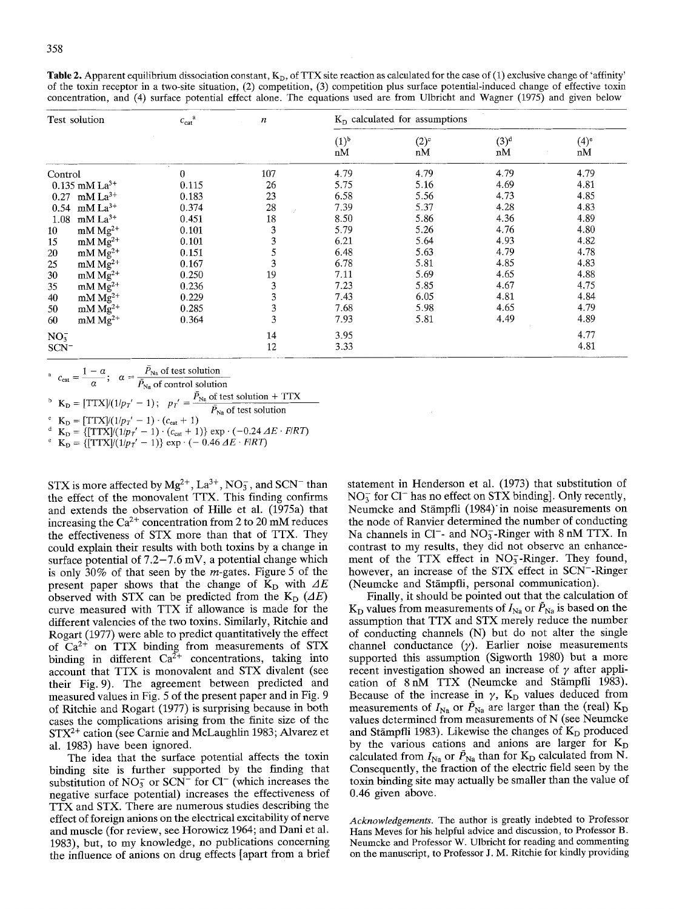**Table 2.** Apparent equilibrium dissociation constant,  $K_D$ , of TTX site reaction as calculated for the case of (1) exclusive change of 'affinity' of the toxin receptor in a two-site situation, (2) competition, (3) competition plus surface potential-induced change of effective toxin concentration, and (4) surface potential effect alone. The equations used are from Ulbricht and Wagner (1975) and given below

|                 | Test solution                   | $c_{cat}^a$ | $\boldsymbol{n}$ | $K_D$ calculated for assumptions |               |                        |                          |
|-----------------|---------------------------------|-------------|------------------|----------------------------------|---------------|------------------------|--------------------------|
|                 |                                 |             |                  | (1) <sup>b</sup><br>nM           | $(2)^c$<br>nM | (3) <sup>d</sup><br>nM | $(4)$ <sup>e</sup><br>nM |
| Control         |                                 | 0           | 107              | 4.79                             | 4.79          | 4.79                   | 4.79                     |
|                 | $0.135$ mM La <sup>3+</sup>     | 0.115       | 26               | 5.75                             | 5.16          | 4.69                   | 4.81                     |
|                 | $0.27$ mM $La^{3+}$             | 0.183       | 23               | 6.58                             | 5.56          | 4.73                   | 4.85                     |
|                 | $0.54$ mM $La^{3+}$             | 0.374       | 28               | 7.39                             | 5.37          | 4.28                   | 4.83                     |
| 1.08            | $mM La^{3+}$                    | 0.451       | 18               | 8.50                             | 5.86          | 4.36                   | 4.89                     |
| 10 <sup>°</sup> | $mM Mg2+$                       | 0.101       | 3                | 5.79                             | 5.26          | 4.76                   | 4.80                     |
| 15              | $mM Mg^{2+}$                    | 0.101       | 3                | 6.21                             | 5.64          | 4.93                   | 4.82                     |
| 20              | $mM$ $Mg^{2+}$                  | 0.151       |                  | 6.48                             | 5.63          | 4.79                   | 4.78                     |
| 25              | $mM\overline{Mg}^{2+}$          | 0.167       | 3                | 6.78                             | 5.81          | 4.85                   | 4.83                     |
| 30              | $mM Mg2+$                       | 0.250       | 19               | 7.11                             | 5.69          | 4.65                   | 4.88                     |
| 35              | $mM Mg2+$                       | 0.236       | 3                | 7.23                             | 5.85          | 4.67                   | 4.75                     |
| 40              | $mM Mg2+$                       | 0.229       | 3                | 7.43                             | 6.05          | 4.81                   | 4.84                     |
| 50              | $~\mathrm{mM}~\mathrm{Mg^{2+}}$ | 0.285       | 3                | 7.68                             | 5.98          | 4.65                   | 4.79                     |
| 60              | $mM Mg2+$                       | 0.364       | 3                | 7.93                             | 5.81          | 4.49                   | 4.89                     |
| $NO_3^-$        |                                 |             | 14               | 3.95                             |               |                        | 4.77                     |
| $SCN^-$         |                                 |             | 12               | 3.33                             |               |                        | 4.81                     |

$$
c_{\text{cat}} = \frac{1 - \alpha}{\alpha}; \quad \alpha = \frac{\bar{P}_{\text{Na}} \text{ of test solution}}{\bar{P}_{\text{Na}} \text{ of control solution}}
$$

 $P_{\text{Na}}$  of test solution + TTX

 $\mathbf{r}_{\mathbf{D}} = [T_1 \mathbf{r}_{\mathbf{A}}] \cdot (T_1 \mathbf{p}_T - T_1)$ ;  $\mathbf{p}_T = \frac{\overline{\mathbf{p}}_{\mathbf{N}_P}}{\mathbf{p}_{\mathbf{N}_P}}$  of test solution

<sup>*c*</sup>  $K_{D} = [TTX]/(1/p_{T}^{\prime} - 1) \cdot (c_{cat} + 1)$ 

 $d$   $K_D = \{ [TTX]/(1/p_T' - 1) \cdot (c_{cat} + 1) \} \exp \cdot (-0.24 \Delta E \cdot F/RT)$ 

 $e$  K<sub>D</sub> = { $[TTX]/(1/p_T' - 1)$ } exp  $\cdot$  (- 0.46  $\Delta E \cdot F/RT$ )

STX is more affected by  $Mg^{2+}$ ,  $La^{3+}$ ,  $NO_3^-$ , and SCN<sup>-</sup> than the effect of the monovalent TI'X. This finding confirms and extends the observation of Hille et al. (1975a) that increasing the  $Ca^{2+}$  concentration from 2 to 20 mM reduces the effectiveness of STX more than that of TTX. They could explain their results with both toxins by a change in surface potential of  $7.2-7.6$  mV, a potential change which is only 30% of that seen by the  $m$ -gates. Figure 5 of the present paper shows that the change of  $K_D$  with  $\Delta E$ observed with STX can be predicted from the  $K_D$  ( $\Delta E$ ) curve measured with TTX if allowance is made for the different valencies of the two toxins. Similarly, Ritchie and Rogart (1977) were able to predict quantitatively the effect of  $Ca^{2+}$  on TTX binding from measurements of STX binding in different  $Ca^{2+}$  concentrations, taking into account that TTX is monovalent and STX divalent (see their Fig. 9). The agreement between predicted and measured values in Fig. 5 of the present paper and in Fig. 9 of Ritchie and Rogart (1977) is surprising because in both cases the complications arising from the finite size of the  $STX<sup>2+</sup>$  cation (see Carnie and McLaughlin 1983; Alvarez et al. 1983) have been ignored.

The idea that the surface potential affects the toxin binding site is further supported by the finding that substitution of  $NO_3^-$  or  $SCN^-$  for  $Cl^-$  (which increases the negative surface potential) increases the effectiveness of TTX and STX. There are numerous studies describing the effect of foreign anions on the electrical excitability of nerve and muscle (for review, see Horowicz 1964; and Dani et al. 1983), but, to my knowledge, no publications concerning the influence of anions on drug effects [apart from a brief statement in Henderson et al, (1973) that substitution of  $NO<sub>3</sub><sup>-</sup>$  for Cl<sup>-</sup> has no effect on STX binding]. Only recently, Neumcke and Stämpfli (1984) in noise measurements on the node of Ranvier determined the number of conducting Na channels in Cl<sup>-</sup>- and NO<sub>3</sub>-Ringer with 8 nM TTX. In contrast to my results, they did not observe an enhancement of the TTX effect in NO<sub>3</sub>-Ringer. They found, however, an increase of the STX effect in SCN--Ringer (Neumcke and Stämpfli, personal communication).

Finally, it should be pointed out that the calculation of  $K_D$  values from measurements of  $I_{Na}$  or  $\bar{P}_{Na}$  is based on the assumption that TTX and STX merely reduce the number of conducting channels (N) but do not alter the single channel conductance  $(y)$ . Earlier noise measurements supported this assumption (Sigworth 1980) but a more recent investigation showed an increase of  $\gamma$  after application of  $8 \text{ nM}$  TTX (Neumcke and Stämpfli 1983). Because of the increase in  $\gamma$ , K<sub>D</sub> values deduced from measurements of  $I_{\text{Na}}$  or  $\bar{P}_{\text{Na}}$  are larger than the (real) K<sub>D</sub> values determined from measurements of N (see Neumcke and Stämpfli 1983). Likewise the changes of  $K_D$  produced by the various cations and anions are larger for  $K_D$ calculated from  $I_{\text{Na}}$  or  $\bar{P}_{\text{Na}}$  than for K<sub>D</sub> calculated from N. Consequently, the fraction of the electric field seen by the toxin binding site may actually be smaller than the value of 0.46 given above.

*Acknowledgements.* The author is greatly indebted to Professor Hans Meves for his helpful advice and discussion, to Professor B. Neumcke and Professor W. Ulbricht for reading and commenting on the manuscript, to Professor J. M. Ritchie for kindly providing